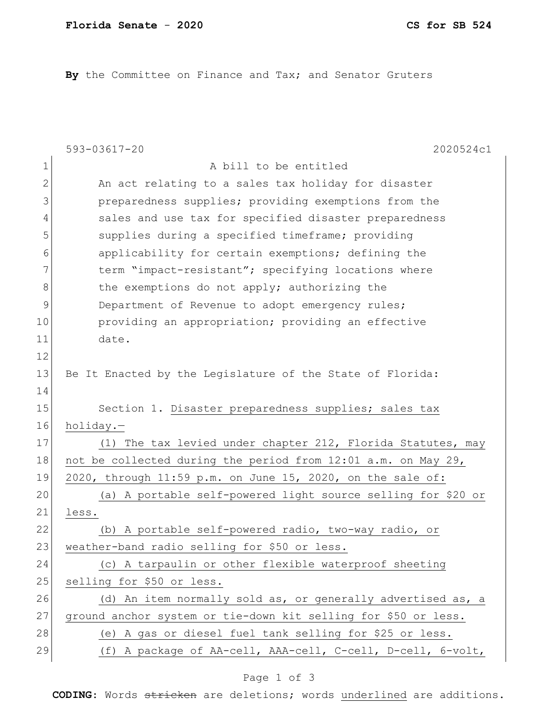**By** the Committee on Finance and Tax; and Senator Gruters

|               | 2020524c1<br>593-03617-20                                      |
|---------------|----------------------------------------------------------------|
| $\mathbf 1$   | A bill to be entitled                                          |
| $\mathbf{2}$  | An act relating to a sales tax holiday for disaster            |
| 3             | preparedness supplies; providing exemptions from the           |
| 4             | sales and use tax for specified disaster preparedness          |
| 5             | supplies during a specified timeframe; providing               |
| 6             | applicability for certain exemptions; defining the             |
| 7             | term "impact-resistant"; specifying locations where            |
| 8             | the exemptions do not apply; authorizing the                   |
| $\mathcal{G}$ | Department of Revenue to adopt emergency rules;                |
| 10            | providing an appropriation; providing an effective             |
| 11            | date.                                                          |
| 12            |                                                                |
| 13            | Be It Enacted by the Legislature of the State of Florida:      |
| 14            |                                                                |
| 15            | Section 1. Disaster preparedness supplies; sales tax           |
| 16            | holiday.-                                                      |
| 17            | (1) The tax levied under chapter 212, Florida Statutes, may    |
| 18            | not be collected during the period from 12:01 a.m. on May 29,  |
| 19            | 2020, through 11:59 p.m. on June 15, 2020, on the sale of:     |
| 20            | (a) A portable self-powered light source selling for \$20 or   |
| 21            | less.                                                          |
| 22            | (b) A portable self-powered radio, two-way radio, or           |
| 23            | weather-band radio selling for \$50 or less.                   |
| 24            | (c) A tarpaulin or other flexible waterproof sheeting          |
| 25            | selling for \$50 or less.                                      |
| 26            | (d) An item normally sold as, or generally advertised as, a    |
| 27            | ground anchor system or tie-down kit selling for \$50 or less. |
| 28            | (e) A gas or diesel fuel tank selling for \$25 or less.        |
| 29            | (f) A package of AA-cell, AAA-cell, C-cell, D-cell, 6-volt,    |

## Page 1 of 3

**CODING**: Words stricken are deletions; words underlined are additions.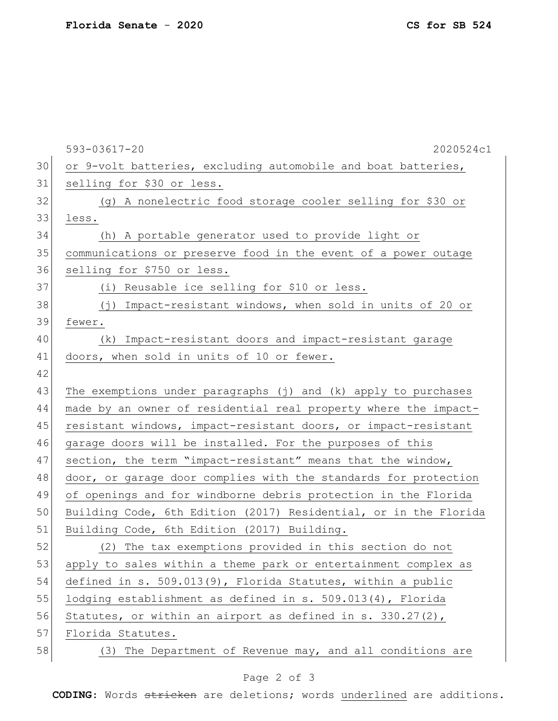593-03617-20 2020524c1 30 or 9-volt batteries, excluding automobile and boat batteries, 31 selling for \$30 or less. 32 (g) A nonelectric food storage cooler selling for \$30 or 33 less. 34 (h) A portable generator used to provide light or 35 communications or preserve food in the event of a power outage 36 selling for \$750 or less. 37 (i) Reusable ice selling for \$10 or less. 38 (j) Impact-resistant windows, when sold in units of 20 or 39 fewer. 40 (k) Impact-resistant doors and impact-resistant garage 41 doors, when sold in units of 10 or fewer. 42 43 The exemptions under paragraphs (j) and (k) apply to purchases 44 made by an owner of residential real property where the impact-45 resistant windows, impact-resistant doors, or impact-resistant 46 garage doors will be installed. For the purposes of this 47 section, the term "impact-resistant" means that the window, 48 door, or garage door complies with the standards for protection 49 of openings and for windborne debris protection in the Florida 50 Building Code, 6th Edition (2017) Residential, or in the Florida 51 Building Code, 6th Edition (2017) Building. 52 (2) The tax exemptions provided in this section do not 53 apply to sales within a theme park or entertainment complex as 54 defined in s. 509.013(9), Florida Statutes, within a public 55 lodging establishment as defined in s. 509.013(4), Florida 56 Statutes, or within an airport as defined in s. 330.27(2), 57 Florida Statutes. 58 (3) The Department of Revenue may, and all conditions are

## Page 2 of 3

**CODING**: Words stricken are deletions; words underlined are additions.